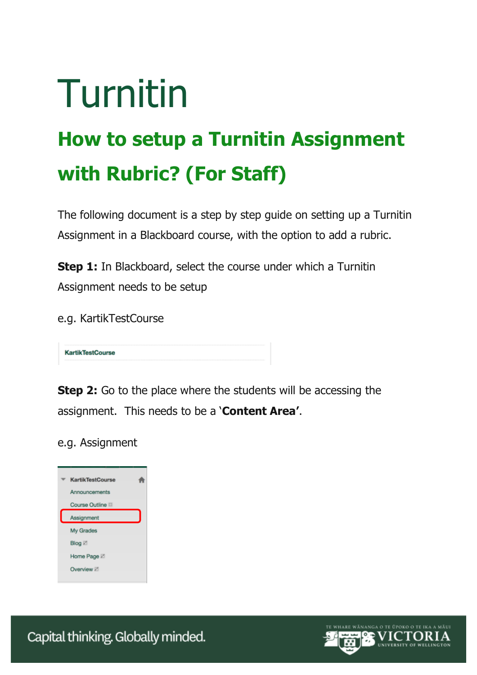## Turnitin

## **How to setup a Turnitin Assignment with Rubric? (For Staff)**

The following document is a step by step guide on setting up a Turnitin Assignment in a Blackboard course, with the option to add a rubric.

**Step 1:** In Blackboard, select the course under which a Turnitin Assignment needs to be setup

e.g. KartikTestCourse

**KartikTestCourse** 

**Step 2:** Go to the place where the students will be accessing the assignment. This needs to be a '**Content Area'**.

e.g. Assignment

| <b>KartikTestCourse</b> |  |
|-------------------------|--|
| Announcements           |  |
| Course Outline          |  |
| Assignment              |  |
| My Grades               |  |
| Blog Z                  |  |
| Home Page Z             |  |
| Overview Z              |  |
|                         |  |

Capital thinking. Globally minded.

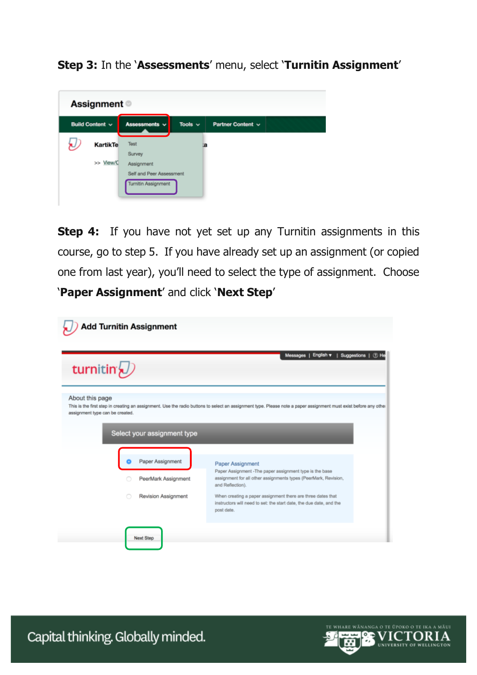**Step 3:** In the '**Assessments**' menu, select '**Turnitin Assignment**'

| <b>Assignment</b> ©    |                            |              |                   |  |
|------------------------|----------------------------|--------------|-------------------|--|
| <b>Build Content v</b> | Assessments v              | Tools $\sim$ | Partner Content ~ |  |
| KartikTe               | Test                       | la           |                   |  |
| >> View/C              | Survey<br>Assignment       |              |                   |  |
|                        | Self and Peer Assessment   |              |                   |  |
|                        | <b>Turnitin Assignment</b> |              |                   |  |

**Step 4:** If you have not yet set up any Turnitin assignments in this course, go to step 5. If you have already set up an assignment (or copied one from last year), you'll need to select the type of assignment. Choose '**Paper Assignment**' and click '**Next Step**'

| turnitin $\bigcup$                                 |                                         | English v   Suggestions   12 He<br>Messages                                                                                                                         |
|----------------------------------------------------|-----------------------------------------|---------------------------------------------------------------------------------------------------------------------------------------------------------------------|
| About this page<br>assignment type can be created. | Select your assignment type             | This is the first step in creating an assignment. Use the radio buttons to select an assignment type. Please note a paper assignment must exist before any other    |
|                                                    |                                         |                                                                                                                                                                     |
|                                                    | Paper Assignment<br>PeerMark Assignment | Paper Assignment<br>Paper Assignment - The paper assignment type is the base<br>assignment for all other assignments types (PeerMark, Revision,<br>and Reflection). |
|                                                    |                                         | When creating a paper assignment there are three dates that                                                                                                         |

Capital thinking. Globally minded.

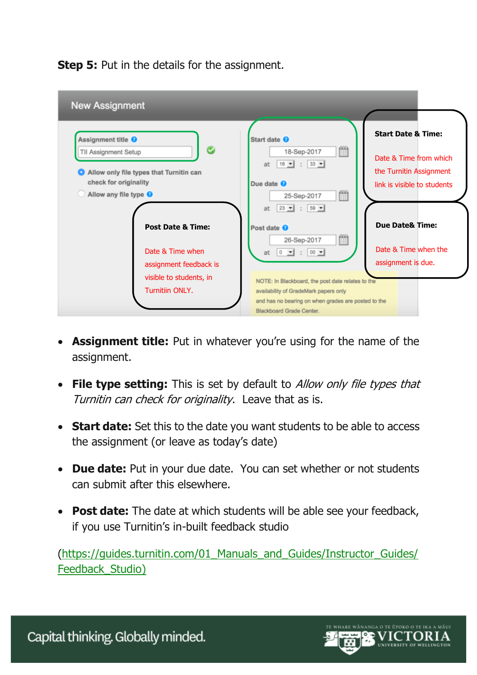**Step 5:** Put in the details for the assignment.



- **Assignment title:** Put in whatever you're using for the name of the assignment.
- **File type setting:** This is set by default to Allow only file types that Turnitin can check for originality. Leave that as is.
- **Start date:** Set this to the date you want students to be able to access the assignment (or leave as today's date)
- **Due date:** Put in your due date. You can set whether or not students can submit after this elsewhere.
- **Post date:** The date at which students will be able see your feedback, if you use Turnitin's in-built feedback studio

(https://guides.turnitin.com/01 Manuals and Guides/Instructor Guides/ Feedback Studio)

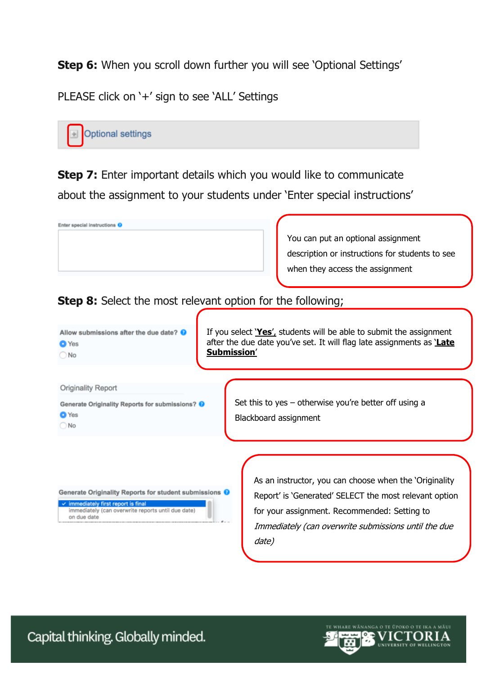**Step 6:** When you scroll down further you will see 'Optional Settings'

PLEASE click on '+' sign to see 'ALL' Settings



**Step 7:** Enter important details which you would like to communicate about the assignment to your students under 'Enter special instructions'



**Step 8:** Select the most relevant option for the following;



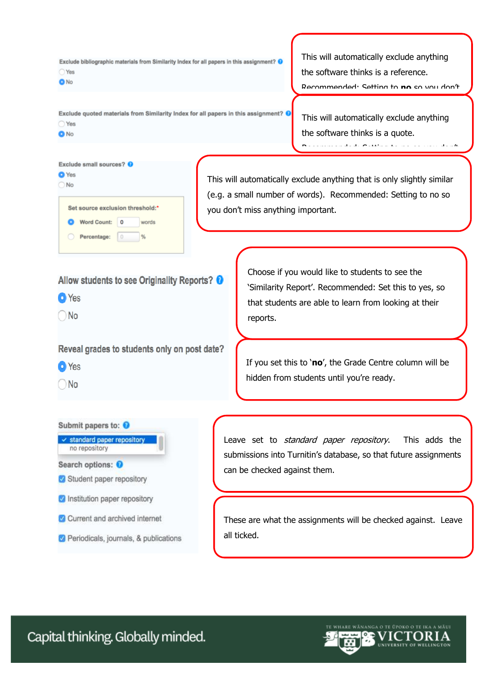Exclude bibliographic materials from Similarity Index for all papers in this assignment? O ○ Yes  $\bullet$  No

This will automatically exclude anything the software thinks is a reference. Recommended: Setting to **no** so you don't

Exclude quoted materials from Similarity Index for all papers in this assignment? @  $\bigcap$  Yes **O** No

This will automatically exclude anything the software thinks is a quote.

Recommended: Setting to no so you don't

Exclude small sources? 0

|   | Set source exclusion threshold:* |   |       |
|---|----------------------------------|---|-------|
| o | <b>Word Count:</b>               | ٥ | words |
|   | Percentage:                      | 0 |       |

This will automatically exclude anything that is only slightly similar (e.g. a small number of words). Recommended: Setting to no so you don't miss anything important.

Allow students to see Originality Reports? <sup>O</sup>

**O**Yes

**O** Yes  $\bigcirc$  No

 $\bigcap$  No

Reveal grades to students only on post date?

**O** Yes

 $\bigcap$  No



Choose if you would like to students to see the 'Similarity Report'. Recommended: Set this to yes, so that students are able to learn from looking at their reports.

If you set this to '**no**', the Grade Centre column will be hidden from students until you're ready.

Leave set to *standard paper repository*. This adds the submissions into Turnitin's database, so that future assignments can be checked against them.

These are what the assignments will be checked against. Leave all ticked.

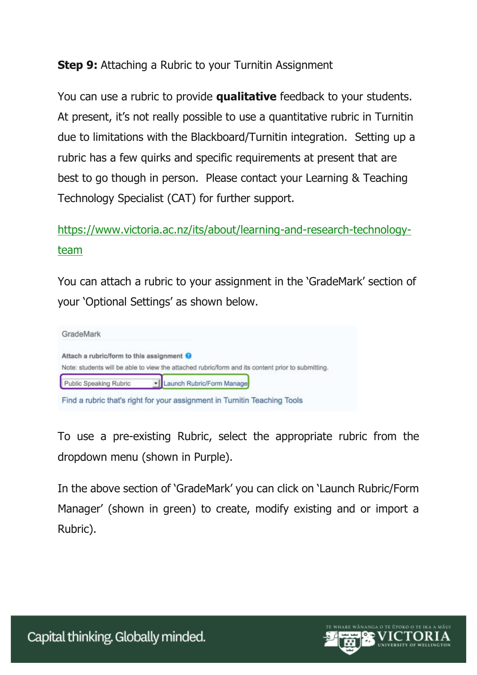## **Step 9:** Attaching a Rubric to your Turnitin Assignment

You can use a rubric to provide **qualitative** feedback to your students. At present, it's not really possible to use a quantitative rubric in Turnitin due to limitations with the Blackboard/Turnitin integration. Setting up a rubric has a few quirks and specific requirements at present that are best to go though in person. Please contact your Learning & Teaching Technology Specialist (CAT) for further support.

## [https://www.victoria.ac.nz/its/about/learning-and-research-technology](https://www.victoria.ac.nz/its/about/learning-and-research-technology-team)[team](https://www.victoria.ac.nz/its/about/learning-and-research-technology-team)

You can attach a rubric to your assignment in the 'GradeMark' section of your 'Optional Settings' as shown below.



To use a pre-existing Rubric, select the appropriate rubric from the dropdown menu (shown in Purple).

In the above section of 'GradeMark' you can click on 'Launch Rubric/Form Manager' (shown in green) to create, modify existing and or import a Rubric).